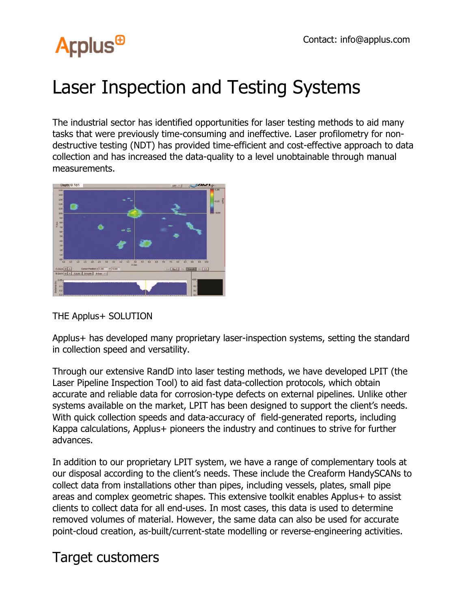

## Laser Inspection and Testing Systems

The industrial sector has identified opportunities for laser testing methods to aid many tasks that were previously time-consuming and ineffective. Laser profilometry for nondestructive testing (NDT) has provided time-efficient and cost-effective approach to data collection and has increased the data-quality to a level unobtainable through manual measurements.



## THE Applus+ SOLUTION

Applus+ has developed many proprietary laser-inspection systems, setting the standard in collection speed and versatility.

Through our extensive RandD into laser testing methods, we have developed LPIT (the Laser Pipeline Inspection Tool) to aid fast data-collection protocols, which obtain accurate and reliable data for corrosion-type defects on external pipelines. Unlike other systems available on the market, LPIT has been designed to support the client's needs. With quick collection speeds and data-accuracy of field-generated reports, including Kappa calculations, Applus+ pioneers the industry and continues to strive for further advances.

In addition to our proprietary LPIT system, we have a range of complementary tools at our disposal according to the client's needs. These include the Creaform HandySCANs to collect data from installations other than pipes, including vessels, plates, small pipe areas and complex geometric shapes. This extensive toolkit enables Applus+ to assist clients to collect data for all end-uses. In most cases, this data is used to determine removed volumes of material. However, the same data can also be used for accurate point-cloud creation, as-built/current-state modelling or reverse-engineering activities.

## Target customers